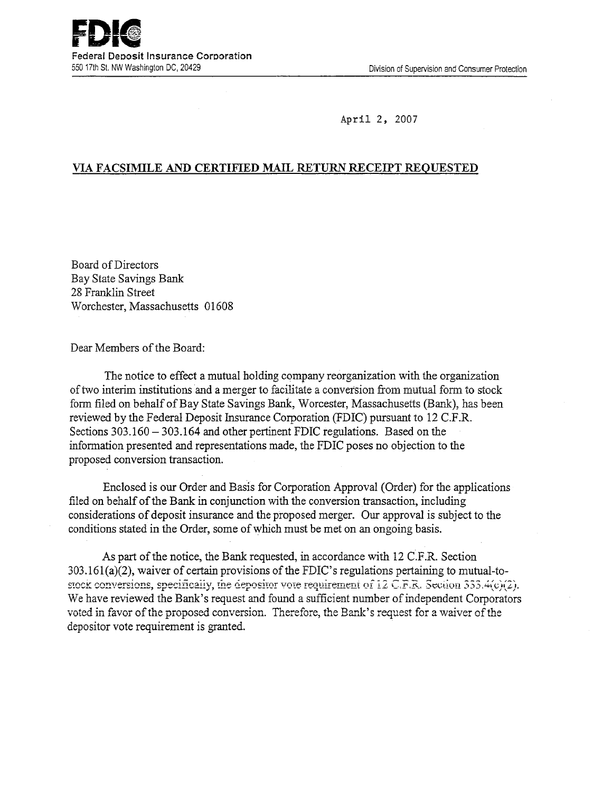April 2, 2007

# VIA **FACSIMILE AND CERTIFIED** MAIL RETURN RECEIPT REQUESTED

Board of Directors Bay State Savings Bank 28 Franklin Street Worchester, Massachusetts 01608

Dear Members of the Board:

The notice to effect a mutual holding company reorganization with the organization of two interim institutions and a merger to facilitate a conversion from mutual form to stock form filed on behalf of Bay State Savings Bank, Worcester, Massachusetts (Bank), has been reviewed by the Federal Deposit Insurance Corporation (FDIC) pursuant to 12 C.F.R. Sections 303.160 - 303.164 and other pertinent FDIC regulations. Based on the information presented and representations made, the FDIC poses no objection to the proposed conversion transaction.

Enclosed is our Order and Basis for Corporation Approval (Order) for the applications filed on behalf of the Bank in conjunction with the conversion transaction, including considerations of deposit insurance and the proposed merger. Our approval is subject to the conditions stated in the Order, some of which must be met on an ongoing basis.

As part of the notice, the Bank requested, in accordance with 12 C.F.R. Section 303.161(a)(2), waiver of certain provisions of the FDIC's regulations pertaining to mutual-tostock conversions, specifically, the depositor vote requirement of 12 C.F.R. Section 333.4(c)(2). We have reviewed the Bank's request and found a sufficient number of independent Corporators voted in favor of the proposed conversion. Therefore, the Bank's request for a waiver of the depositor vote requirement is granted.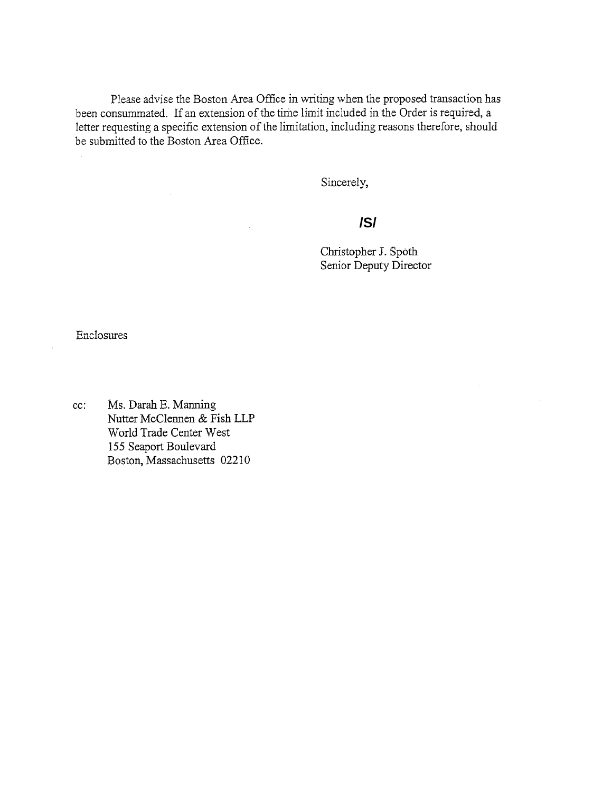Please advise the Boston Area Office in writing when the proposed transaction has been consummated. If an extension of the time limit included in the Order is required, a letter requesting a specific extension of the limitation, including reasons therefore, should be submitted to the Boston Area Office.

Sincerely,

# **/S/**

Christopher J. Spoth Senior Deputy Director

Enclosures

cc: Ms. Darah B. Manning Nutter McClennen & Fish LLP World Trade Center West *155* Seaport Boulevard Boston, Massachusetts 02210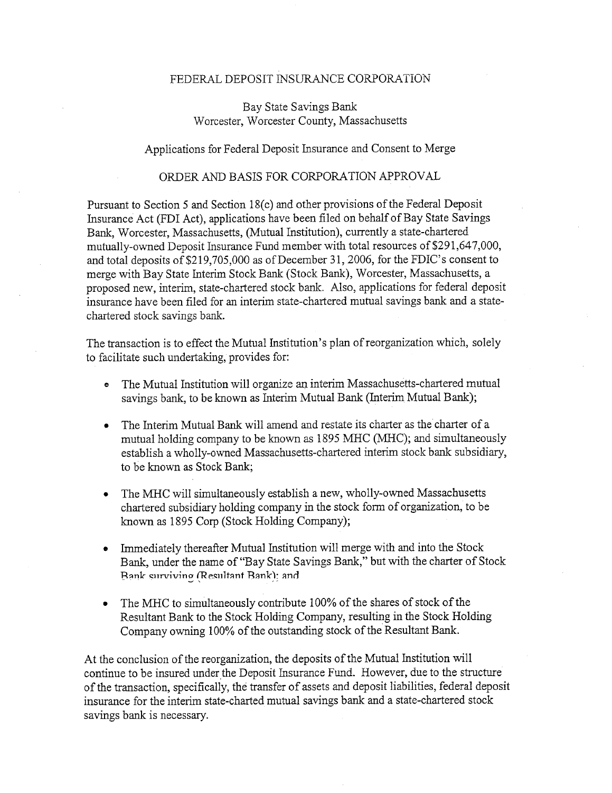### FEDERAL DEPOSIT INSURANCE CORPORATION

## Bay State Savings Bank Worcester, Worcester County, Massachusetts

#### Applications for Federal Deposit Insurance and Consent to Merge

### ORDER AND BASIS FOR CORPORATION APPROVAL

Pursuant to Section *5* and Section 18(c) and other provisions of the Federal Deposit Insurance Act (FDI Act), applications have been filed on behalf of Bay State Savings Bank, Worcester, Massachusetts, (Mutual Institution), currently a state-chartered mutually-owned Deposit Insurance Fund member with total resources of \$291,647,000, and total deposits of \$219,705,000 as of December 31, 2006, for the FDIC's consent to merge with Bay State Interim Stock Bank (Stock Bank), Worcester, Massachusetts, a proposed new, interim, state-chartered stock bank. Also, applications for federal deposit insurance have been filed for an interim state-chartered mutual savings bank and a statechartered stock savings bank.

The transaction is to effect the Mutual Institution's plan of reorganization which, solely to facilitate such undertaking, provides for:

- The Mutual Institution will organize an interim Massachusetts-chartered mutual savings bank, to be known as Interim Mutual Bank (Interim Mutual Bank);
- The Interim Mutual Bank will amend and restate its charter as the charter of a mutual holding company to be known as 1895 MHC (MHC); and simultaneously establish a wholly-owned Massachusetts-chartered interim stock bank subsidiary, to be known as Stock Bank;
- The MHC will simultaneously establish a new, wholly-owned Massachusetts chartered subsidiary holding company in the stock form of organization, to be known as 1895 Corp (Stock Holding Company);
- Immediately thereafter Mutual Institution will merge with and into the Stock Bank, under the name of "Bay State Savings Bank," but with the charter of Stock Bank surviving (Resultant Bank): and
- The MHC to simultaneously contribute 100% of the shares of stock of the Resultant Bank to the Stock Holding Company, resulting in the Stock Holding Company owning 100% of the outstanding stock of the Resultant Bank.

At the conclusion of the reorganization, the deposits of the Mutual Institution will continue to be insured under the Deposit Insurance Fund. However, due to the structure of the transaction, specifically, the transfer of assets and deposit liabilities, federal deposit insurance for the interim state-charted mutual savings bank and a state-chartered stock savings bank is necessary.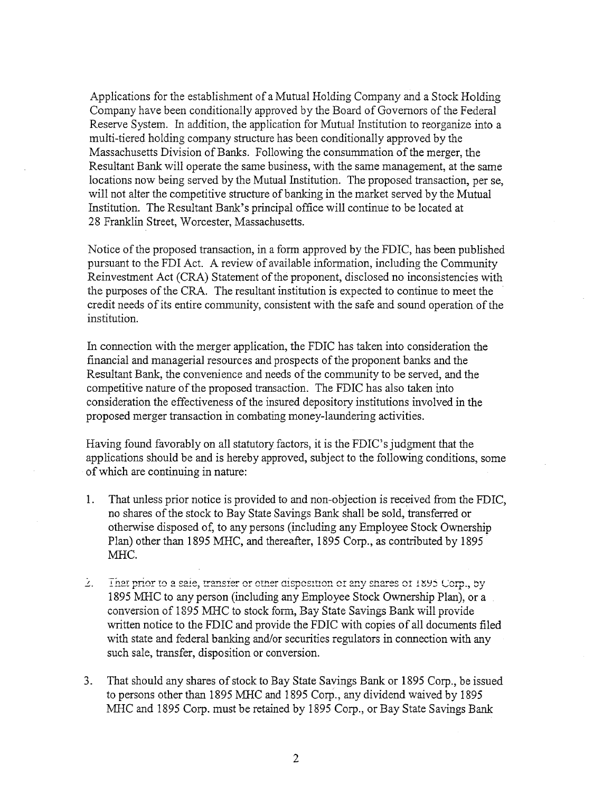Applications for the establishment of a Mutual Holding Company and a Stock Holding Company have been conditionally approved by the Board of Governors of the Federal Reserve System. In addition, the application for Mutual Institution to reorganize into a multi-tiered holding company structure has been conditionally approved by the Massachusetts Division of Banks. Following the consummation of the merger, the Resultant Bank will operate the same business, with the same management, at the same locations now being served by the Mutual Institution. The proposed transaction, per se, will not alter the competitive structure of banking in the market served by the Mutual Institution. The Resultant Bank's principal office will continue to be located at 28 Franklin Street, Worcester, Massachusetts.

Notice of the proposed transaction, in a form approved by the FDIC, has been published pursuant to the FDI Act. A review of available information, including the Community Reinvestment Act (CRA) Statement of the proponent, disclosed no inconsistencies with the purposes of the CRA. The resultant institution is expected to continue to meet the credit needs of its entire community, consistent with the safe and sound operation of the institution.

In connection with the merger application, the FDIC has taken into consideration the financial and managerial resources and prospects of the proponent banks and the Resultant Bank, the convenience and needs of the community to be served, and the competitive nature of the proposed transaction. The FDIC has also taken into consideration the effectiveness of the insured depository institutions involved in the proposed merger transaction in combating money-laundering activities.

Having found favorably on all statutory factors, it is the FDIC's judgment that the applications should be and is hereby approved, subject to the following conditions, some of which are continuing in nature:

- That unless prior notice is provided to and non-objection is received from the FDIC,  $1_{\cdot}$ no shares of the stock to Bay State Savings Bank shall be sold, transferred or otherwise disposed of, to any persons (including any Employee Stock Ownership Plan) other than 1895 MHC, and thereafter, 1895 Corp., as contributed by 1895 MHC.
- Ž. That prior to a sale, transfer or other disposition of any shares of 1895 Corp., by 1895 MHC to any person (including any Employee Stock Ownership Plan), or a conversion of *1895* MIHC to stock form, Bay State Savings Bank will provide written notice to the FDIC and provide the FDIC with copies of all documents filed with state and federal banking and/or securities regulators in connection with any such sale, transfer, disposition or conversion.
- 3. That should any shares of stock to Bay State Savings Bank or 1895 Corp., be issued to persons other than 1895 MHC and 1895 Corp., any dividend waived by 1895 MHC and 1895 Corp. must be retained by 1895 Corp., or Bay State Savings Bank